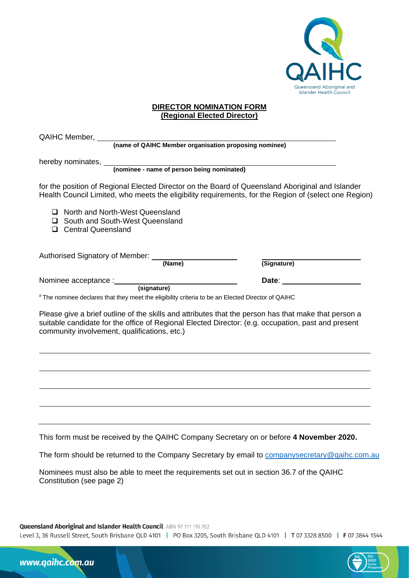

## **DIRECTOR NOMINATION FORM (Regional Elected Director)**

| hereby nominates, <i>(nominee - name of person being nominated)</i>                                                                                                                                                                                        |             |
|------------------------------------------------------------------------------------------------------------------------------------------------------------------------------------------------------------------------------------------------------------|-------------|
|                                                                                                                                                                                                                                                            |             |
|                                                                                                                                                                                                                                                            | (Signature) |
|                                                                                                                                                                                                                                                            |             |
| # The nominee declares that they meet the eligibility criteria to be an Elected Director of QAIHC                                                                                                                                                          |             |
| Please give a brief outline of the skills and attributes that the person has that make that person a<br>suitable candidate for the office of Regional Elected Director: (e.g. occupation, past and present<br>community involvement, qualifications, etc.) |             |
|                                                                                                                                                                                                                                                            |             |
|                                                                                                                                                                                                                                                            |             |
|                                                                                                                                                                                                                                                            |             |
|                                                                                                                                                                                                                                                            |             |
| This form must be received by the QAIHC Company Secretary on or before 4 November 2020.                                                                                                                                                                    |             |
| The form should be returned to the Company Secretary by email to companysecretary@qaihc.com.au                                                                                                                                                             |             |
| Nominees must also be able to meet the requirements set out in section 36.7 of the QAIHC<br>Constitution (see page 2)                                                                                                                                      |             |

www.qaihc.com.au

Level 3, 36 Russell Street, South Brisbane QLD 4101 | PO Box 3205, South Brisbane QLD 4101 | T 07 3328 8500 | F 07 3844 1544